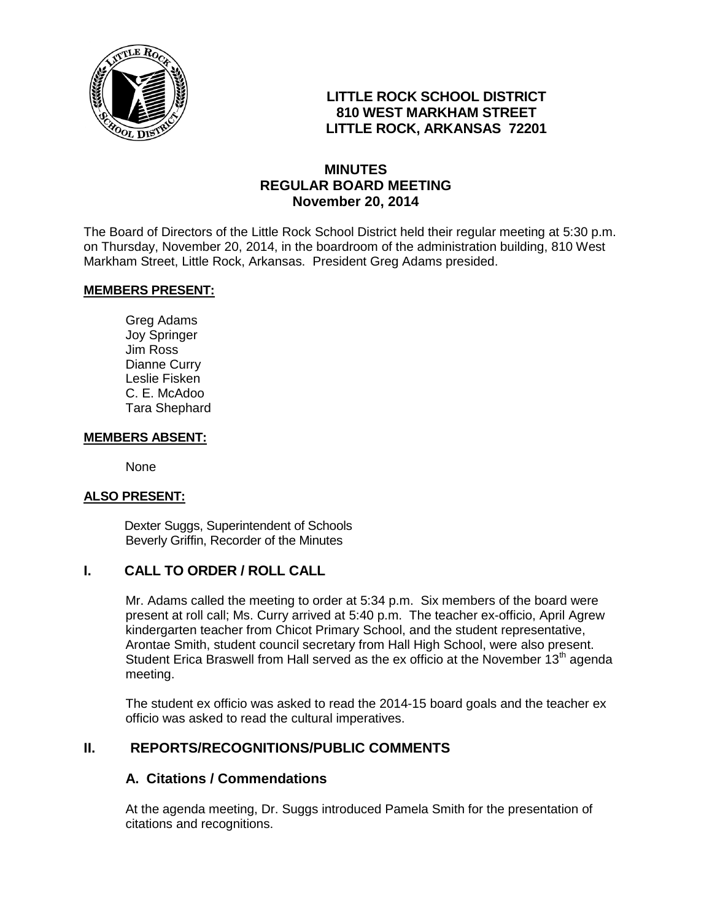

# **LITTLE ROCK SCHOOL DISTRICT 810 WEST MARKHAM STREET LITTLE ROCK, ARKANSAS 72201**

# **MINUTES REGULAR BOARD MEETING November 20, 2014**

The Board of Directors of the Little Rock School District held their regular meeting at 5:30 p.m. on Thursday, November 20, 2014, in the boardroom of the administration building, 810 West Markham Street, Little Rock, Arkansas. President Greg Adams presided.

#### **MEMBERS PRESENT:**

Greg Adams Joy Springer Jim Ross Dianne Curry Leslie Fisken C. E. McAdoo Tara Shephard

#### **MEMBERS ABSENT:**

None

#### **ALSO PRESENT:**

 Dexter Suggs, Superintendent of Schools Beverly Griffin, Recorder of the Minutes

#### **I. CALL TO ORDER / ROLL CALL**

Mr. Adams called the meeting to order at 5:34 p.m. Six members of the board were present at roll call; Ms. Curry arrived at 5:40 p.m. The teacher ex-officio, April Agrew kindergarten teacher from Chicot Primary School, and the student representative, Arontae Smith, student council secretary from Hall High School, were also present. Student Erica Braswell from Hall served as the ex officio at the November  $13<sup>th</sup>$  agenda meeting.

The student ex officio was asked to read the 2014-15 board goals and the teacher ex officio was asked to read the cultural imperatives.

## **II. REPORTS/RECOGNITIONS/PUBLIC COMMENTS**

#### **A. Citations / Commendations**

At the agenda meeting, Dr. Suggs introduced Pamela Smith for the presentation of citations and recognitions.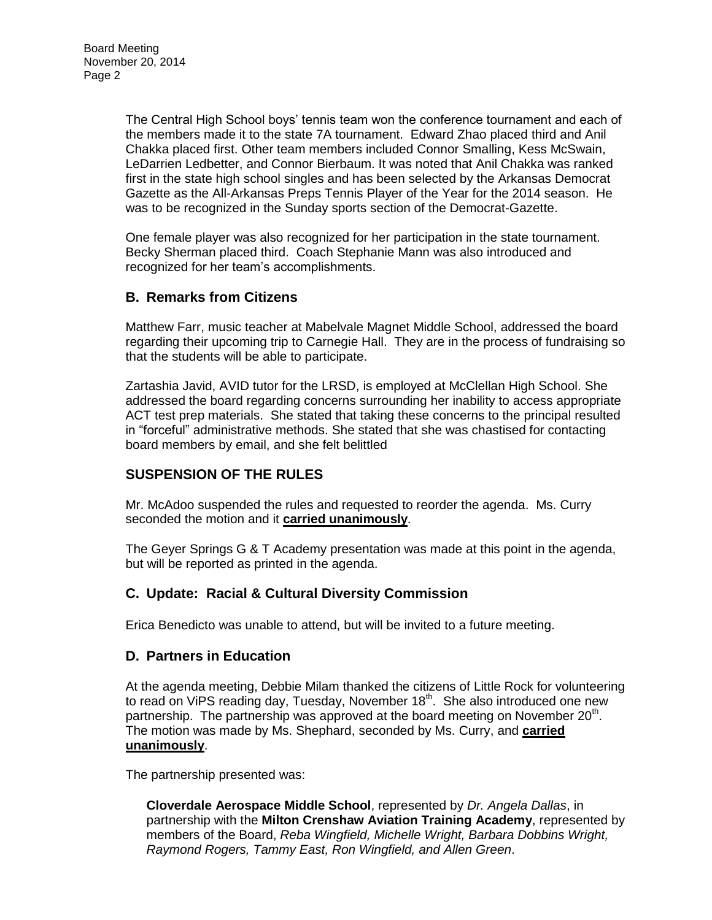The Central High School boys' tennis team won the conference tournament and each of the members made it to the state 7A tournament. Edward Zhao placed third and Anil Chakka placed first. Other team members included Connor Smalling, Kess McSwain, LeDarrien Ledbetter, and Connor Bierbaum. It was noted that Anil Chakka was ranked first in the state high school singles and has been selected by the Arkansas Democrat Gazette as the All-Arkansas Preps Tennis Player of the Year for the 2014 season. He was to be recognized in the Sunday sports section of the Democrat-Gazette.

One female player was also recognized for her participation in the state tournament. Becky Sherman placed third. Coach Stephanie Mann was also introduced and recognized for her team's accomplishments.

## **B. Remarks from Citizens**

Matthew Farr, music teacher at Mabelvale Magnet Middle School, addressed the board regarding their upcoming trip to Carnegie Hall. They are in the process of fundraising so that the students will be able to participate.

Zartashia Javid, AVID tutor for the LRSD, is employed at McClellan High School. She addressed the board regarding concerns surrounding her inability to access appropriate ACT test prep materials. She stated that taking these concerns to the principal resulted in "forceful" administrative methods. She stated that she was chastised for contacting board members by email, and she felt belittled

## **SUSPENSION OF THE RULES**

Mr. McAdoo suspended the rules and requested to reorder the agenda. Ms. Curry seconded the motion and it **carried unanimously**.

The Geyer Springs G & T Academy presentation was made at this point in the agenda, but will be reported as printed in the agenda.

## **C. Update: Racial & Cultural Diversity Commission**

Erica Benedicto was unable to attend, but will be invited to a future meeting.

#### **D. Partners in Education**

At the agenda meeting, Debbie Milam thanked the citizens of Little Rock for volunteering to read on ViPS reading day, Tuesday, November  $18<sup>th</sup>$ . She also introduced one new partnership. The partnership was approved at the board meeting on November 20<sup>th</sup>. The motion was made by Ms. Shephard, seconded by Ms. Curry, and **carried unanimously**.

The partnership presented was:

**Cloverdale Aerospace Middle School**, represented by *Dr. Angela Dallas*, in partnership with the **Milton Crenshaw Aviation Training Academy**, represented by members of the Board, *Reba Wingfield, Michelle Wright, Barbara Dobbins Wright, Raymond Rogers, Tammy East, Ron Wingfield, and Allen Green*.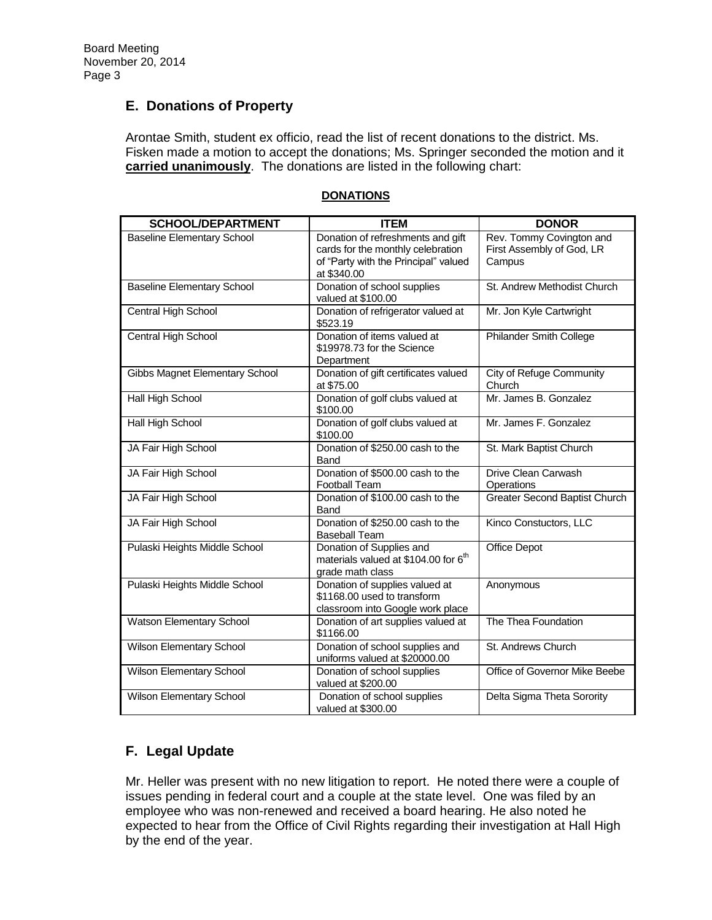# **E. Donations of Property**

Arontae Smith, student ex officio, read the list of recent donations to the district. Ms. Fisken made a motion to accept the donations; Ms. Springer seconded the motion and it **carried unanimously**. The donations are listed in the following chart:

| <b>SCHOOL/DEPARTMENT</b>              | <b>ITEM</b>                                                                                                                   | <b>DONOR</b>                                                    |
|---------------------------------------|-------------------------------------------------------------------------------------------------------------------------------|-----------------------------------------------------------------|
| <b>Baseline Elementary School</b>     | Donation of refreshments and gift<br>cards for the monthly celebration<br>of "Party with the Principal" valued<br>at \$340.00 | Rev. Tommy Covington and<br>First Assembly of God, LR<br>Campus |
| <b>Baseline Elementary School</b>     | Donation of school supplies<br>valued at \$100.00                                                                             | St. Andrew Methodist Church                                     |
| Central High School                   | Donation of refrigerator valued at<br>\$523.19                                                                                | Mr. Jon Kyle Cartwright                                         |
| Central High School                   | Donation of items valued at<br>\$19978.73 for the Science<br>Department                                                       | <b>Philander Smith College</b>                                  |
| <b>Gibbs Magnet Elementary School</b> | Donation of gift certificates valued<br>at \$75.00                                                                            | City of Refuge Community<br>Church                              |
| Hall High School                      | Donation of golf clubs valued at<br>\$100.00                                                                                  | Mr. James B. Gonzalez                                           |
| Hall High School                      | Donation of golf clubs valued at<br>\$100.00                                                                                  | Mr. James F. Gonzalez                                           |
| JA Fair High School                   | Donation of \$250.00 cash to the<br>Band                                                                                      | St. Mark Baptist Church                                         |
| JA Fair High School                   | Donation of \$500.00 cash to the<br><b>Football Team</b>                                                                      | Drive Clean Carwash<br>Operations                               |
| JA Fair High School                   | Donation of \$100.00 cash to the<br>Band                                                                                      | <b>Greater Second Baptist Church</b>                            |
| JA Fair High School                   | Donation of \$250.00 cash to the<br><b>Baseball Team</b>                                                                      | Kinco Constuctors, LLC                                          |
| Pulaski Heights Middle School         | Donation of Supplies and<br>materials valued at \$104.00 for 6 <sup>th</sup><br>grade math class                              | Office Depot                                                    |
| Pulaski Heights Middle School         | Donation of supplies valued at<br>\$1168.00 used to transform<br>classroom into Google work place                             | Anonymous                                                       |
| Watson Elementary School              | Donation of art supplies valued at<br>\$1166.00                                                                               | The Thea Foundation                                             |
| Wilson Elementary School              | Donation of school supplies and<br>uniforms valued at \$20000.00                                                              | St. Andrews Church                                              |
| Wilson Elementary School              | Donation of school supplies<br>valued at \$200.00                                                                             | Office of Governor Mike Beebe                                   |
| Wilson Elementary School              | Donation of school supplies<br>valued at \$300.00                                                                             | Delta Sigma Theta Sorority                                      |

#### **DONATIONS**

# **F. Legal Update**

Mr. Heller was present with no new litigation to report. He noted there were a couple of issues pending in federal court and a couple at the state level. One was filed by an employee who was non-renewed and received a board hearing. He also noted he expected to hear from the Office of Civil Rights regarding their investigation at Hall High by the end of the year.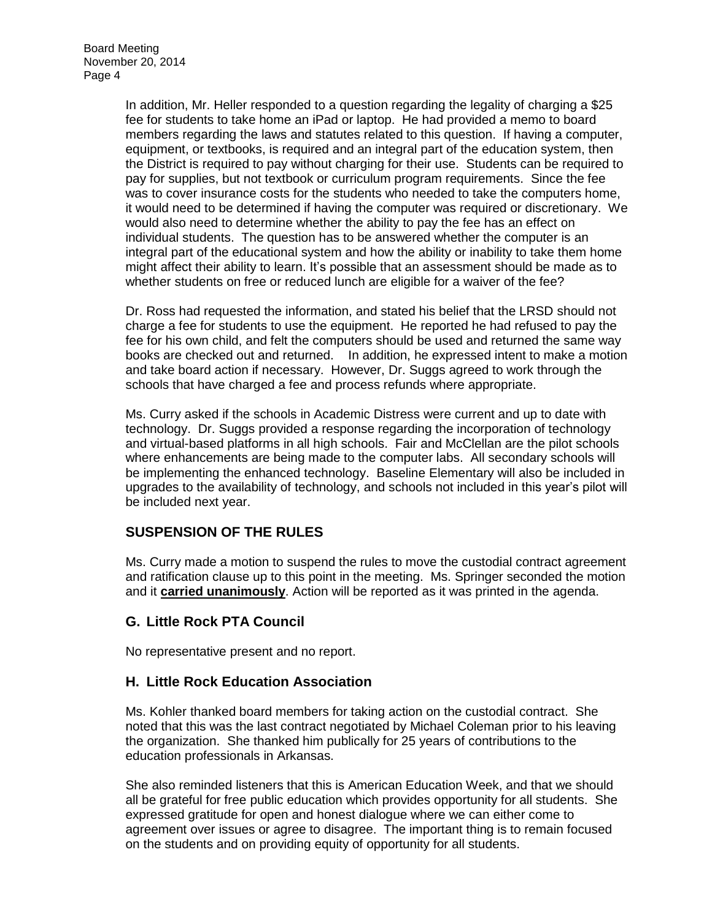In addition, Mr. Heller responded to a question regarding the legality of charging a \$25 fee for students to take home an iPad or laptop. He had provided a memo to board members regarding the laws and statutes related to this question. If having a computer, equipment, or textbooks, is required and an integral part of the education system, then the District is required to pay without charging for their use. Students can be required to pay for supplies, but not textbook or curriculum program requirements. Since the fee was to cover insurance costs for the students who needed to take the computers home, it would need to be determined if having the computer was required or discretionary. We would also need to determine whether the ability to pay the fee has an effect on individual students. The question has to be answered whether the computer is an integral part of the educational system and how the ability or inability to take them home might affect their ability to learn. It's possible that an assessment should be made as to whether students on free or reduced lunch are eligible for a waiver of the fee?

Dr. Ross had requested the information, and stated his belief that the LRSD should not charge a fee for students to use the equipment. He reported he had refused to pay the fee for his own child, and felt the computers should be used and returned the same way books are checked out and returned. In addition, he expressed intent to make a motion and take board action if necessary. However, Dr. Suggs agreed to work through the schools that have charged a fee and process refunds where appropriate.

Ms. Curry asked if the schools in Academic Distress were current and up to date with technology. Dr. Suggs provided a response regarding the incorporation of technology and virtual-based platforms in all high schools. Fair and McClellan are the pilot schools where enhancements are being made to the computer labs. All secondary schools will be implementing the enhanced technology. Baseline Elementary will also be included in upgrades to the availability of technology, and schools not included in this year's pilot will be included next year.

# **SUSPENSION OF THE RULES**

Ms. Curry made a motion to suspend the rules to move the custodial contract agreement and ratification clause up to this point in the meeting. Ms. Springer seconded the motion and it **carried unanimously**. Action will be reported as it was printed in the agenda.

## **G. Little Rock PTA Council**

No representative present and no report.

#### **H. Little Rock Education Association**

Ms. Kohler thanked board members for taking action on the custodial contract. She noted that this was the last contract negotiated by Michael Coleman prior to his leaving the organization. She thanked him publically for 25 years of contributions to the education professionals in Arkansas.

She also reminded listeners that this is American Education Week, and that we should all be grateful for free public education which provides opportunity for all students. She expressed gratitude for open and honest dialogue where we can either come to agreement over issues or agree to disagree. The important thing is to remain focused on the students and on providing equity of opportunity for all students.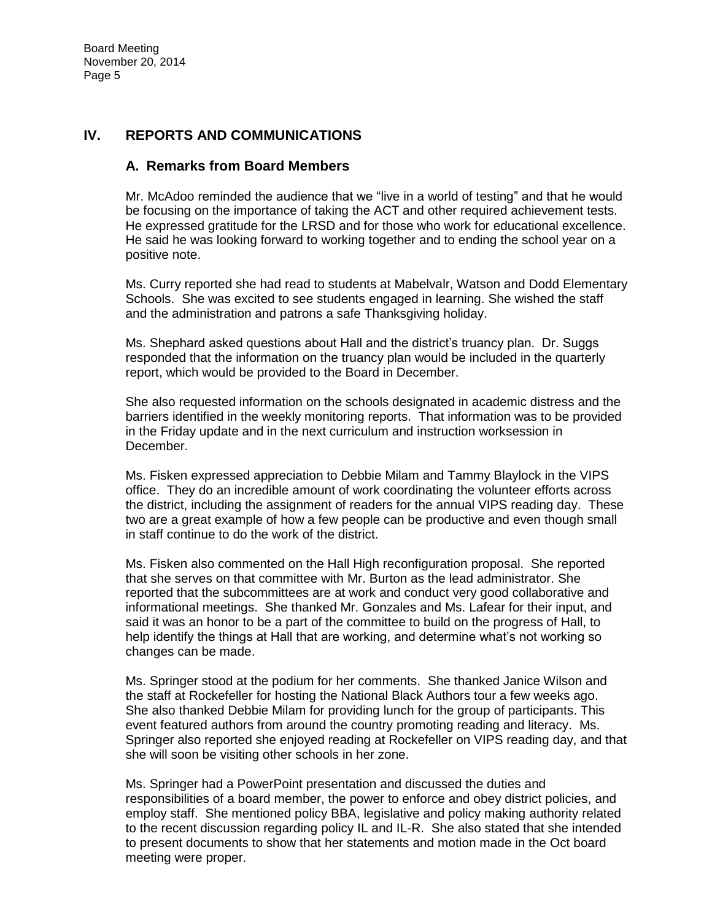# **IV. REPORTS AND COMMUNICATIONS**

#### **A. Remarks from Board Members**

Mr. McAdoo reminded the audience that we "live in a world of testing" and that he would be focusing on the importance of taking the ACT and other required achievement tests. He expressed gratitude for the LRSD and for those who work for educational excellence. He said he was looking forward to working together and to ending the school year on a positive note.

Ms. Curry reported she had read to students at Mabelvalr, Watson and Dodd Elementary Schools. She was excited to see students engaged in learning. She wished the staff and the administration and patrons a safe Thanksgiving holiday.

Ms. Shephard asked questions about Hall and the district's truancy plan. Dr. Suggs responded that the information on the truancy plan would be included in the quarterly report, which would be provided to the Board in December.

She also requested information on the schools designated in academic distress and the barriers identified in the weekly monitoring reports. That information was to be provided in the Friday update and in the next curriculum and instruction worksession in December.

Ms. Fisken expressed appreciation to Debbie Milam and Tammy Blaylock in the VIPS office. They do an incredible amount of work coordinating the volunteer efforts across the district, including the assignment of readers for the annual VIPS reading day. These two are a great example of how a few people can be productive and even though small in staff continue to do the work of the district.

Ms. Fisken also commented on the Hall High reconfiguration proposal. She reported that she serves on that committee with Mr. Burton as the lead administrator. She reported that the subcommittees are at work and conduct very good collaborative and informational meetings. She thanked Mr. Gonzales and Ms. Lafear for their input, and said it was an honor to be a part of the committee to build on the progress of Hall, to help identify the things at Hall that are working, and determine what's not working so changes can be made.

Ms. Springer stood at the podium for her comments. She thanked Janice Wilson and the staff at Rockefeller for hosting the National Black Authors tour a few weeks ago. She also thanked Debbie Milam for providing lunch for the group of participants. This event featured authors from around the country promoting reading and literacy. Ms. Springer also reported she enjoyed reading at Rockefeller on VIPS reading day, and that she will soon be visiting other schools in her zone.

Ms. Springer had a PowerPoint presentation and discussed the duties and responsibilities of a board member, the power to enforce and obey district policies, and employ staff. She mentioned policy BBA, legislative and policy making authority related to the recent discussion regarding policy IL and IL-R. She also stated that she intended to present documents to show that her statements and motion made in the Oct board meeting were proper.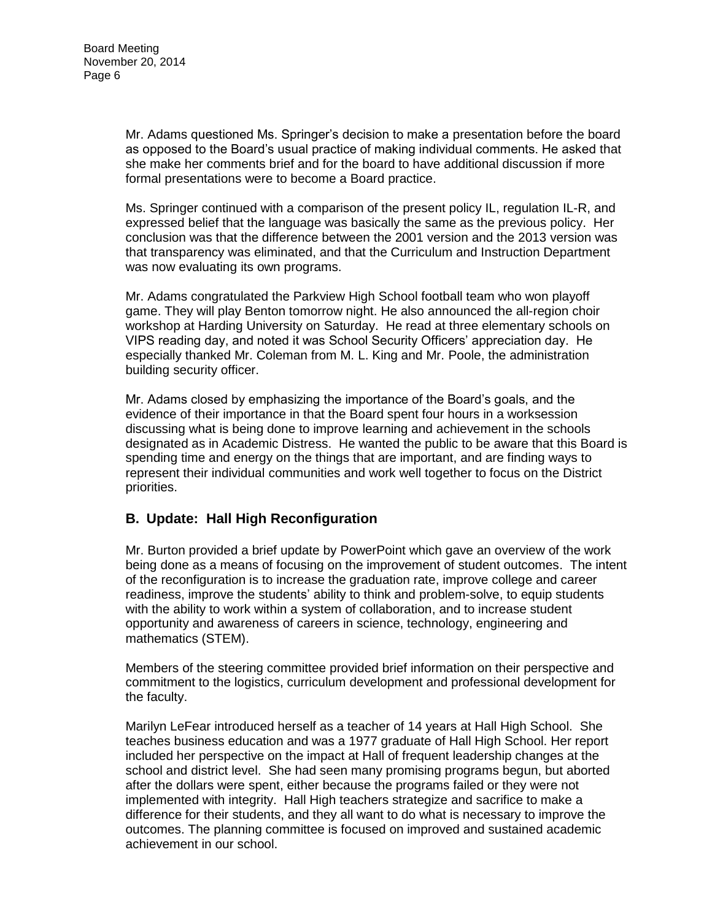Mr. Adams questioned Ms. Springer's decision to make a presentation before the board as opposed to the Board's usual practice of making individual comments. He asked that she make her comments brief and for the board to have additional discussion if more formal presentations were to become a Board practice.

Ms. Springer continued with a comparison of the present policy IL, regulation IL-R, and expressed belief that the language was basically the same as the previous policy. Her conclusion was that the difference between the 2001 version and the 2013 version was that transparency was eliminated, and that the Curriculum and Instruction Department was now evaluating its own programs.

Mr. Adams congratulated the Parkview High School football team who won playoff game. They will play Benton tomorrow night. He also announced the all-region choir workshop at Harding University on Saturday. He read at three elementary schools on VIPS reading day, and noted it was School Security Officers' appreciation day. He especially thanked Mr. Coleman from M. L. King and Mr. Poole, the administration building security officer.

Mr. Adams closed by emphasizing the importance of the Board's goals, and the evidence of their importance in that the Board spent four hours in a worksession discussing what is being done to improve learning and achievement in the schools designated as in Academic Distress. He wanted the public to be aware that this Board is spending time and energy on the things that are important, and are finding ways to represent their individual communities and work well together to focus on the District priorities.

## **B. Update: Hall High Reconfiguration**

Mr. Burton provided a brief update by PowerPoint which gave an overview of the work being done as a means of focusing on the improvement of student outcomes. The intent of the reconfiguration is to increase the graduation rate, improve college and career readiness, improve the students' ability to think and problem-solve, to equip students with the ability to work within a system of collaboration, and to increase student opportunity and awareness of careers in science, technology, engineering and mathematics (STEM).

Members of the steering committee provided brief information on their perspective and commitment to the logistics, curriculum development and professional development for the faculty.

Marilyn LeFear introduced herself as a teacher of 14 years at Hall High School. She teaches business education and was a 1977 graduate of Hall High School. Her report included her perspective on the impact at Hall of frequent leadership changes at the school and district level. She had seen many promising programs begun, but aborted after the dollars were spent, either because the programs failed or they were not implemented with integrity. Hall High teachers strategize and sacrifice to make a difference for their students, and they all want to do what is necessary to improve the outcomes. The planning committee is focused on improved and sustained academic achievement in our school.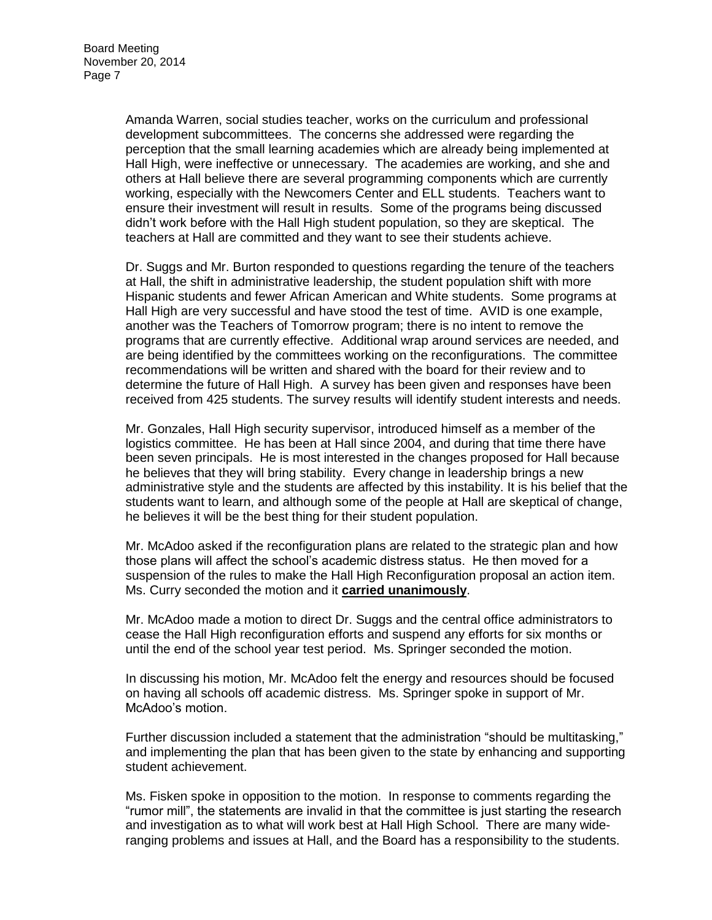Amanda Warren, social studies teacher, works on the curriculum and professional development subcommittees. The concerns she addressed were regarding the perception that the small learning academies which are already being implemented at Hall High, were ineffective or unnecessary. The academies are working, and she and others at Hall believe there are several programming components which are currently working, especially with the Newcomers Center and ELL students. Teachers want to ensure their investment will result in results. Some of the programs being discussed didn't work before with the Hall High student population, so they are skeptical. The teachers at Hall are committed and they want to see their students achieve.

Dr. Suggs and Mr. Burton responded to questions regarding the tenure of the teachers at Hall, the shift in administrative leadership, the student population shift with more Hispanic students and fewer African American and White students. Some programs at Hall High are very successful and have stood the test of time. AVID is one example, another was the Teachers of Tomorrow program; there is no intent to remove the programs that are currently effective. Additional wrap around services are needed, and are being identified by the committees working on the reconfigurations. The committee recommendations will be written and shared with the board for their review and to determine the future of Hall High. A survey has been given and responses have been received from 425 students. The survey results will identify student interests and needs.

Mr. Gonzales, Hall High security supervisor, introduced himself as a member of the logistics committee. He has been at Hall since 2004, and during that time there have been seven principals. He is most interested in the changes proposed for Hall because he believes that they will bring stability. Every change in leadership brings a new administrative style and the students are affected by this instability. It is his belief that the students want to learn, and although some of the people at Hall are skeptical of change, he believes it will be the best thing for their student population.

Mr. McAdoo asked if the reconfiguration plans are related to the strategic plan and how those plans will affect the school's academic distress status. He then moved for a suspension of the rules to make the Hall High Reconfiguration proposal an action item. Ms. Curry seconded the motion and it **carried unanimously**.

Mr. McAdoo made a motion to direct Dr. Suggs and the central office administrators to cease the Hall High reconfiguration efforts and suspend any efforts for six months or until the end of the school year test period. Ms. Springer seconded the motion.

In discussing his motion, Mr. McAdoo felt the energy and resources should be focused on having all schools off academic distress. Ms. Springer spoke in support of Mr. McAdoo's motion.

Further discussion included a statement that the administration "should be multitasking," and implementing the plan that has been given to the state by enhancing and supporting student achievement.

Ms. Fisken spoke in opposition to the motion. In response to comments regarding the "rumor mill", the statements are invalid in that the committee is just starting the research and investigation as to what will work best at Hall High School. There are many wideranging problems and issues at Hall, and the Board has a responsibility to the students.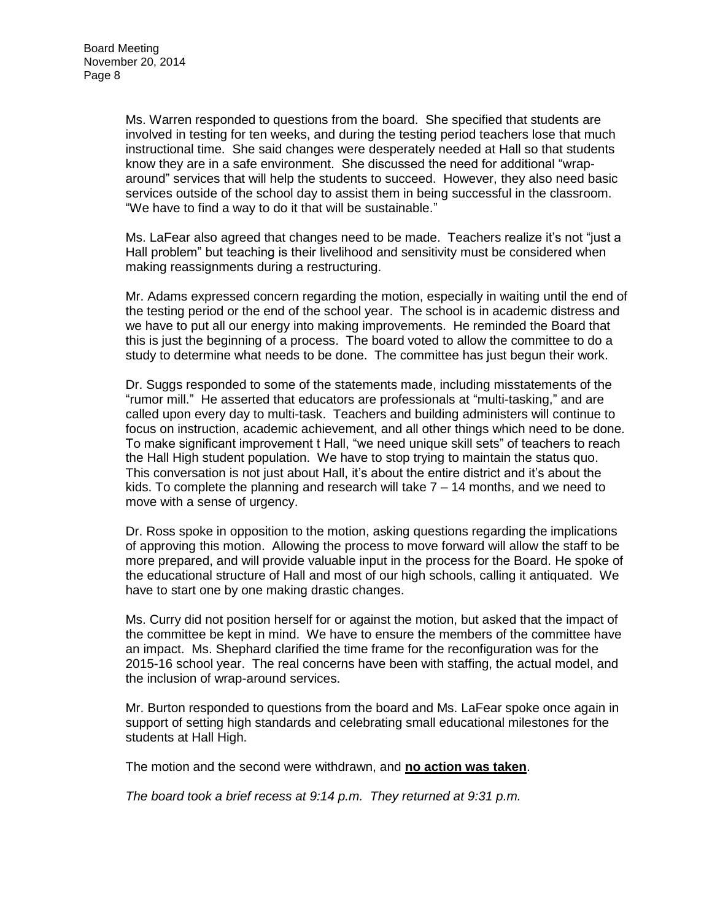Ms. Warren responded to questions from the board. She specified that students are involved in testing for ten weeks, and during the testing period teachers lose that much instructional time. She said changes were desperately needed at Hall so that students know they are in a safe environment. She discussed the need for additional "wraparound" services that will help the students to succeed. However, they also need basic services outside of the school day to assist them in being successful in the classroom. "We have to find a way to do it that will be sustainable."

Ms. LaFear also agreed that changes need to be made. Teachers realize it's not "just a Hall problem" but teaching is their livelihood and sensitivity must be considered when making reassignments during a restructuring.

Mr. Adams expressed concern regarding the motion, especially in waiting until the end of the testing period or the end of the school year. The school is in academic distress and we have to put all our energy into making improvements. He reminded the Board that this is just the beginning of a process. The board voted to allow the committee to do a study to determine what needs to be done. The committee has just begun their work.

Dr. Suggs responded to some of the statements made, including misstatements of the "rumor mill." He asserted that educators are professionals at "multi-tasking," and are called upon every day to multi-task. Teachers and building administers will continue to focus on instruction, academic achievement, and all other things which need to be done. To make significant improvement t Hall, "we need unique skill sets" of teachers to reach the Hall High student population. We have to stop trying to maintain the status quo. This conversation is not just about Hall, it's about the entire district and it's about the kids. To complete the planning and research will take 7 – 14 months, and we need to move with a sense of urgency.

Dr. Ross spoke in opposition to the motion, asking questions regarding the implications of approving this motion. Allowing the process to move forward will allow the staff to be more prepared, and will provide valuable input in the process for the Board. He spoke of the educational structure of Hall and most of our high schools, calling it antiquated. We have to start one by one making drastic changes.

Ms. Curry did not position herself for or against the motion, but asked that the impact of the committee be kept in mind. We have to ensure the members of the committee have an impact. Ms. Shephard clarified the time frame for the reconfiguration was for the 2015-16 school year. The real concerns have been with staffing, the actual model, and the inclusion of wrap-around services.

Mr. Burton responded to questions from the board and Ms. LaFear spoke once again in support of setting high standards and celebrating small educational milestones for the students at Hall High.

The motion and the second were withdrawn, and **no action was taken**.

*The board took a brief recess at 9:14 p.m. They returned at 9:31 p.m.*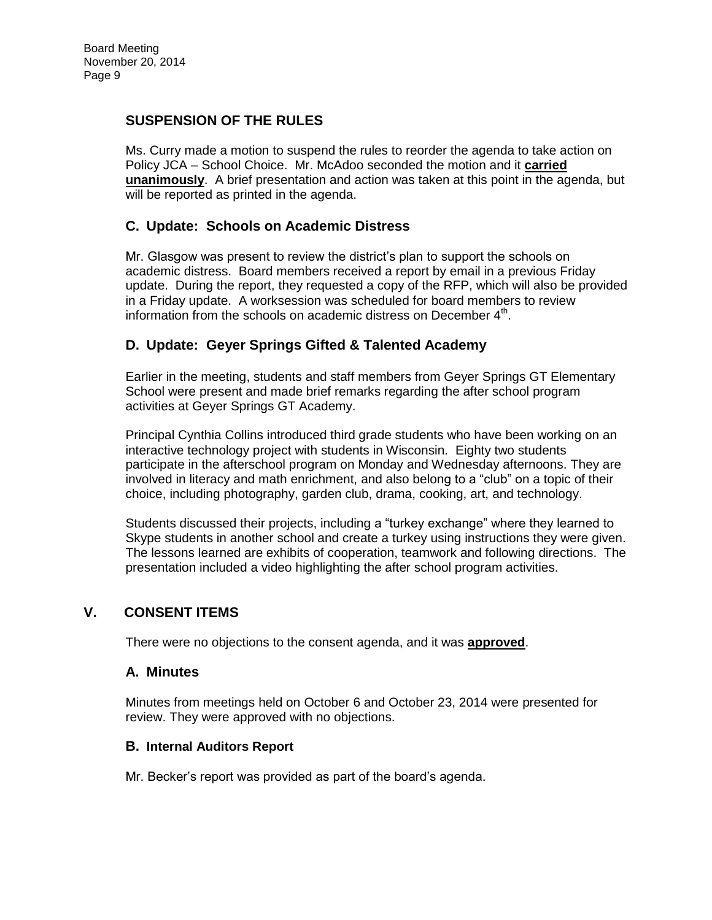# **SUSPENSION OF THE RULES**

Ms. Curry made a motion to suspend the rules to reorder the agenda to take action on Policy JCA – School Choice. Mr. McAdoo seconded the motion and it **carried unanimously**. A brief presentation and action was taken at this point in the agenda, but will be reported as printed in the agenda.

# **C. Update: Schools on Academic Distress**

Mr. Glasgow was present to review the district's plan to support the schools on academic distress. Board members received a report by email in a previous Friday update. During the report, they requested a copy of the RFP, which will also be provided in a Friday update. A worksession was scheduled for board members to review information from the schools on academic distress on December 4<sup>th</sup>.

# **D. Update: Geyer Springs Gifted & Talented Academy**

Earlier in the meeting, students and staff members from Geyer Springs GT Elementary School were present and made brief remarks regarding the after school program activities at Geyer Springs GT Academy.

Principal Cynthia Collins introduced third grade students who have been working on an interactive technology project with students in Wisconsin. Eighty two students participate in the afterschool program on Monday and Wednesday afternoons. They are involved in literacy and math enrichment, and also belong to a "club" on a topic of their choice, including photography, garden club, drama, cooking, art, and technology.

Students discussed their projects, including a "turkey exchange" where they learned to Skype students in another school and create a turkey using instructions they were given. The lessons learned are exhibits of cooperation, teamwork and following directions. The presentation included a video highlighting the after school program activities.

## **V. CONSENT ITEMS**

There were no objections to the consent agenda, and it was **approved**.

#### **A. Minutes**

Minutes from meetings held on October 6 and October 23, 2014 were presented for review. They were approved with no objections.

#### **B. Internal Auditors Report**

Mr. Becker's report was provided as part of the board's agenda.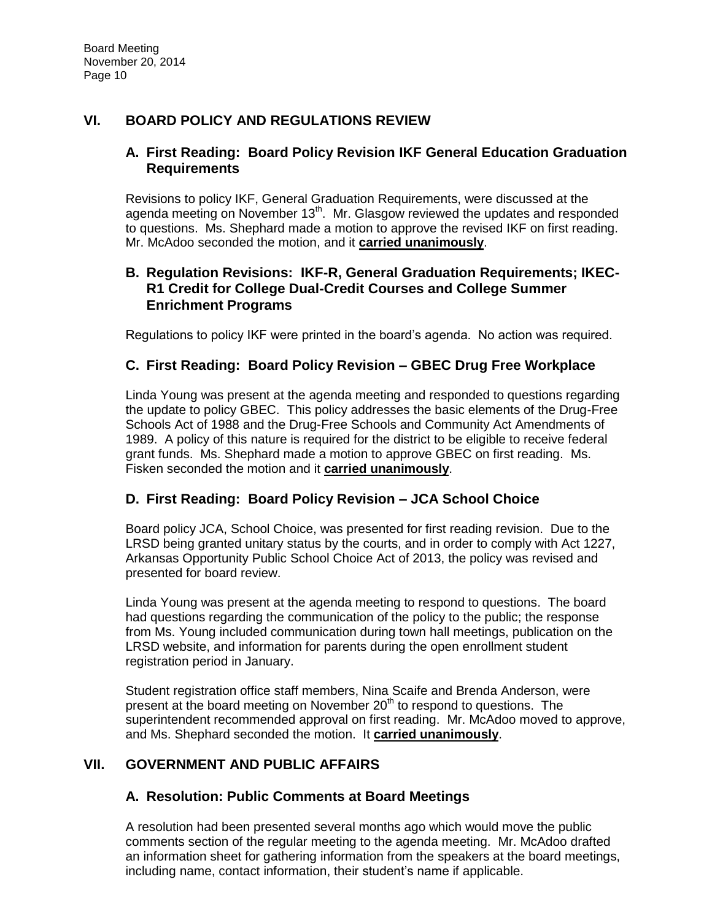# **VI. BOARD POLICY AND REGULATIONS REVIEW**

## **A. First Reading: Board Policy Revision IKF General Education Graduation Requirements**

Revisions to policy IKF, General Graduation Requirements, were discussed at the agenda meeting on November  $13<sup>th</sup>$ . Mr. Glasgow reviewed the updates and responded to questions. Ms. Shephard made a motion to approve the revised IKF on first reading. Mr. McAdoo seconded the motion, and it **carried unanimously**.

## **B. Regulation Revisions: IKF-R, General Graduation Requirements; IKEC-R1 Credit for College Dual-Credit Courses and College Summer Enrichment Programs**

Regulations to policy IKF were printed in the board's agenda. No action was required.

# **C. First Reading: Board Policy Revision – GBEC Drug Free Workplace**

Linda Young was present at the agenda meeting and responded to questions regarding the update to policy GBEC. This policy addresses the basic elements of the Drug-Free Schools Act of 1988 and the Drug-Free Schools and Community Act Amendments of 1989. A policy of this nature is required for the district to be eligible to receive federal grant funds. Ms. Shephard made a motion to approve GBEC on first reading. Ms. Fisken seconded the motion and it **carried unanimously**.

## **D. First Reading: Board Policy Revision – JCA School Choice**

Board policy JCA, School Choice, was presented for first reading revision. Due to the LRSD being granted unitary status by the courts, and in order to comply with Act 1227, Arkansas Opportunity Public School Choice Act of 2013, the policy was revised and presented for board review.

Linda Young was present at the agenda meeting to respond to questions. The board had questions regarding the communication of the policy to the public; the response from Ms. Young included communication during town hall meetings, publication on the LRSD website, and information for parents during the open enrollment student registration period in January.

Student registration office staff members, Nina Scaife and Brenda Anderson, were present at the board meeting on November 20<sup>th</sup> to respond to questions. The superintendent recommended approval on first reading. Mr. McAdoo moved to approve, and Ms. Shephard seconded the motion. It **carried unanimously**.

## **VII. GOVERNMENT AND PUBLIC AFFAIRS**

## **A. Resolution: Public Comments at Board Meetings**

A resolution had been presented several months ago which would move the public comments section of the regular meeting to the agenda meeting. Mr. McAdoo drafted an information sheet for gathering information from the speakers at the board meetings, including name, contact information, their student's name if applicable.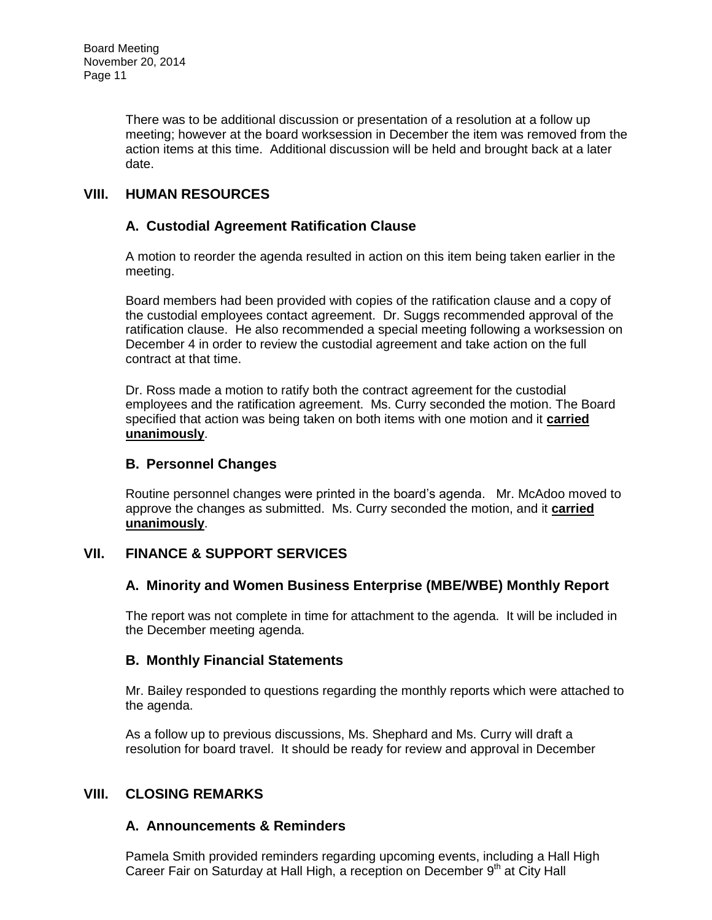There was to be additional discussion or presentation of a resolution at a follow up meeting; however at the board worksession in December the item was removed from the action items at this time. Additional discussion will be held and brought back at a later date.

# **VIII. HUMAN RESOURCES**

# **A. Custodial Agreement Ratification Clause**

A motion to reorder the agenda resulted in action on this item being taken earlier in the meeting.

Board members had been provided with copies of the ratification clause and a copy of the custodial employees contact agreement. Dr. Suggs recommended approval of the ratification clause. He also recommended a special meeting following a worksession on December 4 in order to review the custodial agreement and take action on the full contract at that time.

Dr. Ross made a motion to ratify both the contract agreement for the custodial employees and the ratification agreement. Ms. Curry seconded the motion. The Board specified that action was being taken on both items with one motion and it **carried unanimously**.

#### **B. Personnel Changes**

Routine personnel changes were printed in the board's agenda. Mr. McAdoo moved to approve the changes as submitted. Ms. Curry seconded the motion, and it **carried unanimously**.

## **VII. FINANCE & SUPPORT SERVICES**

## **A. Minority and Women Business Enterprise (MBE/WBE) Monthly Report**

The report was not complete in time for attachment to the agenda. It will be included in the December meeting agenda.

## **B. Monthly Financial Statements**

Mr. Bailey responded to questions regarding the monthly reports which were attached to the agenda.

As a follow up to previous discussions, Ms. Shephard and Ms. Curry will draft a resolution for board travel. It should be ready for review and approval in December

# **VIII. CLOSING REMARKS**

## **A. Announcements & Reminders**

Pamela Smith provided reminders regarding upcoming events, including a Hall High Career Fair on Saturday at Hall High, a reception on December 9<sup>th</sup> at City Hall